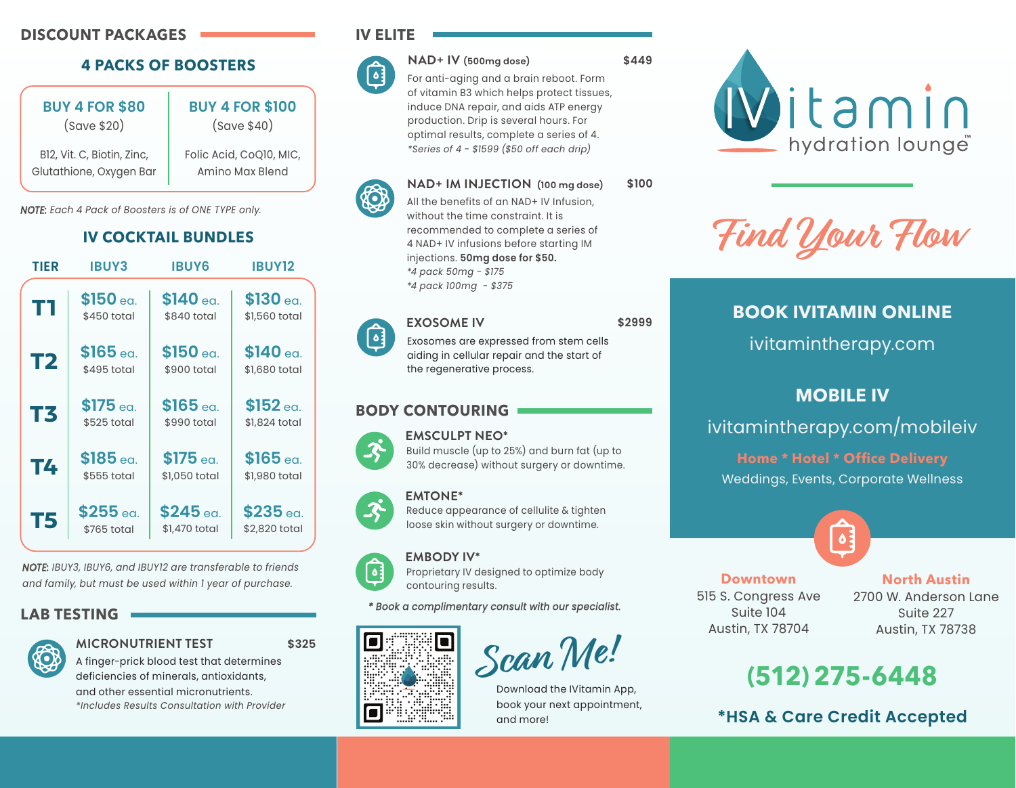## **DISCOUNT PACKAGES**

## **4 PACKS OF BOOSTERS**

| <b>BUY 4 FOR \$80</b>      | <b>BUY 4 FOR \$100</b>  |
|----------------------------|-------------------------|
| (save \$20)                | (save \$40)             |
| B12, Vit. C, Biotin, Zinc, | Folic Acid, CoQ10, MIC, |
| Glutathione, Oxygen Bar    | Amino Max Blend         |

*NOTE: Each 4 Pack of Boosters is of ONE TYPE only.*

## **IV COCKTAIL BUNDLES**



*NOTE: IBUY3, IBUY6, and IBUY12 are transferable to friends and family, but must be used within 1 year of purchase.*

### **LAB TESTING**



**MICRONUTRIENT TEST \$325**

A finger-prick blood test that determines deficiencies of minerals, antioxidants, and other essential micronutrients. *\*Includes Results Consultation with Provider* **IV ELITE** 



KO

**NAD+ IV (500mg dose)**

For anti-aging and a brain reboot. Form of vitamin B3 which helps protect tissues, induce DNA repair, and aids ATP energy production. Drip is several hours. For optimal results, complete a series of 4. *\*Series of 4 - \$1599 (\$50 off each drip)*

**\$449**

**\$2999**

### **NAD+ IM INJECTION (100 mg dose) \$100**

All the benefits of an NAD+ IV Infusion, without the time constraint. It is recommended to complete a series of 4 NAD+ IV infusions before starting IM injections. **50mg dose for \$50.** *\*4 pack 50mg - \$175 \*4 pack 100mg - \$375*

#### **EXOSOME IV**  $\lceil \cdot \rceil$

Exosomes are expressed from stem cells aiding in cellular repair and the start of the regenerative process.

### **BODY CONTOURING**



Build muscle (up to 25%) and burn fat (up to 30% decrease) without surgery or downtime.



**EMTONE\***

Reduce appearance of cellulite & tighten loose skin without surgery or downtime.



Proprietary IV designed to optimize body contouring results.

#### *\* Book a complimentary consult with our specialist.*



**Scan Me!**

Download the IVitamin App, book your next appointment, and more!



**Find Your Flow**

## **BOOK IVITAMIN ONLINE**

ivitamintherapy.com

## **MOBILE IV**

ivitamintherapy.com/mobileiv

**Home \* Hotel \* Office Delivery**  Weddings, Events, Corporate Wellness



**Downtown** 515 S. Congress Ave Suite 104 Austin, TX 78704

**North Austin** 

2700 W. Anderson Lane Suite 227 Austin, TX 78738

# **(512)275-6448**

**\*HSA & Care Credit Accepted**